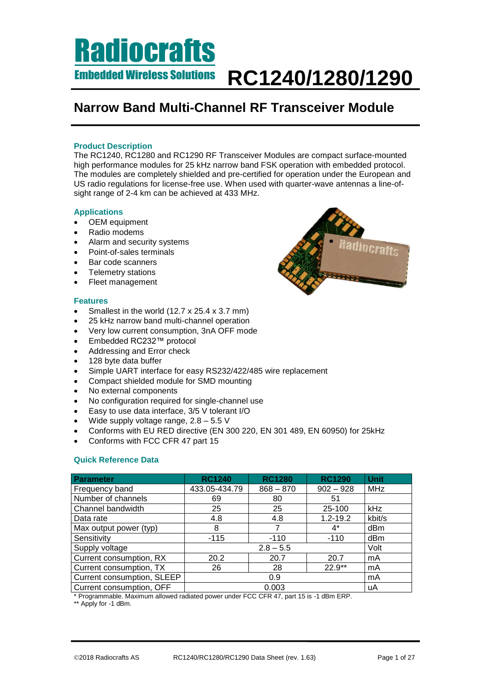### **Narrow Band Multi-Channel RF Transceiver Module**

### **Product Description**

The RC1240, RC1280 and RC1290 RF Transceiver Modules are compact surface-mounted high performance modules for 25 kHz narrow band FSK operation with embedded protocol. The modules are completely shielded and pre-certified for operation under the European and US radio regulations for license-free use. When used with quarter-wave antennas a line-ofsight range of 2-4 km can be achieved at 433 MHz.

### **Applications**

- OEM equipment
- Radio modems
- Alarm and security systems
- Point-of-sales terminals
- Bar code scanners
- Telemetry stations
- Fleet management

#### **Features**

- Smallest in the world (12.7 x 25.4 x 3.7 mm)
- 25 kHz narrow band multi-channel operation
- Very low current consumption, 3nA OFF mode
- Embedded RC232™ protocol
- Addressing and Error check
- 128 byte data buffer
- Simple UART interface for easy RS232/422/485 wire replacement
- Compact shielded module for SMD mounting
- No external components
- No configuration required for single-channel use
- Easy to use data interface, 3/5 V tolerant I/O
- Wide supply voltage range,  $2.8 5.5$  V
- Conforms with EU RED directive (EN 300 220, EN 301 489, EN 60950) for 25kHz
- Conforms with FCC CFR 47 part 15

### **Quick Reference Data**

| Parameter                  | <b>RC1240</b> | <b>RC1280</b> | <b>RC1290</b> | <b>Unit</b> |
|----------------------------|---------------|---------------|---------------|-------------|
| Frequency band             | 433.05-434.79 | $868 - 870$   | $902 - 928$   | <b>MHz</b>  |
| Number of channels         | 69            | 80            | 51            |             |
| Channel bandwidth          | 25            | 25            | 25-100        | kHz         |
| Data rate                  | 4.8           | 4.8           | $1.2 - 19.2$  | kbit/s      |
| Max output power (typ)     | 8             | 7             | $4^*$         | dBm         |
| Sensitivity                | $-115$        | $-110$        | $-110$        | dBm         |
| Supply voltage             |               |               | Volt          |             |
| Current consumption, RX    | 20.2          | 20.7          | 20.7          | mA          |
| Current consumption, TX    | 26            | 28            | $22.9**$      | mA          |
| Current consumption, SLEEP |               | mA            |               |             |
| Current consumption, OFF   |               | 0.003         |               | uA          |

\* Programmable. Maximum allowed radiated power under FCC CFR 47, part 15 is -1 dBm ERP.

\*\* Apply for -1 dBm.

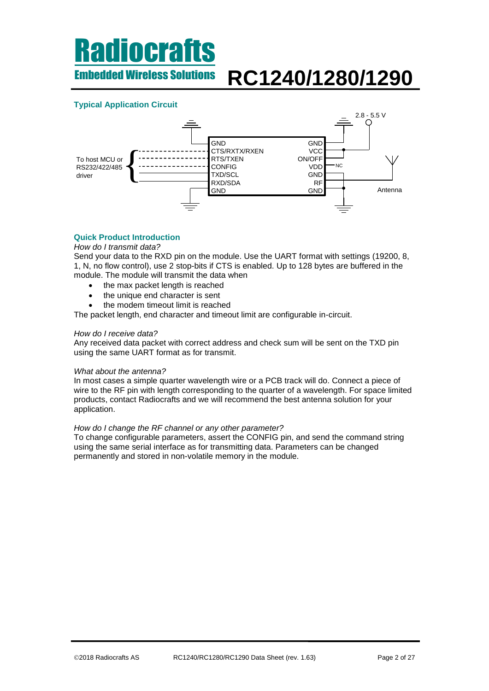Embedded Wireless Solutions **RC1240/1280/1290**

### **Typical Application Circuit**



### **Quick Product Introduction**

#### *How do I transmit data?*

Send your data to the RXD pin on the module. Use the UART format with settings (19200, 8, 1, N, no flow control), use 2 stop-bits if CTS is enabled. Up to 128 bytes are buffered in the module. The module will transmit the data when

- the max packet length is reached
- the unique end character is sent
- the modem timeout limit is reached

The packet length, end character and timeout limit are configurable in-circuit.

#### *How do I receive data?*

Any received data packet with correct address and check sum will be sent on the TXD pin using the same UART format as for transmit.

#### *What about the antenna?*

In most cases a simple quarter wavelength wire or a PCB track will do. Connect a piece of wire to the RF pin with length corresponding to the quarter of a wavelength. For space limited products, contact Radiocrafts and we will recommend the best antenna solution for your application.

#### *How do I change the RF channel or any other parameter?*

To change configurable parameters, assert the CONFIG pin, and send the command string using the same serial interface as for transmitting data. Parameters can be changed permanently and stored in non-volatile memory in the module.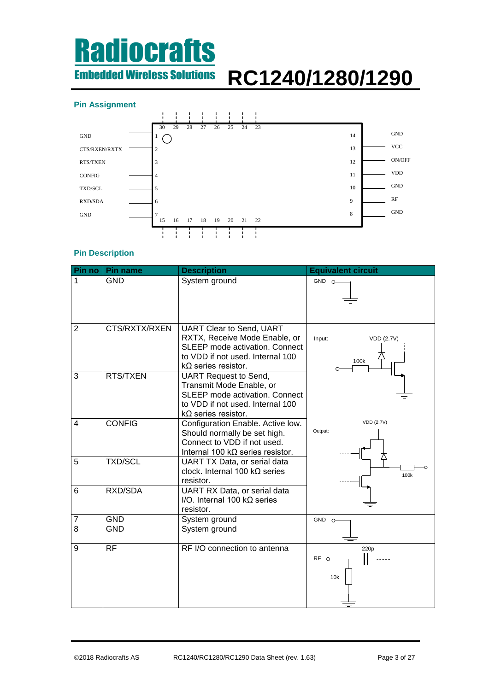# **Radiocrafts** Embedded Wireless Solutions

# **RC1240/1280/1290**

### **Pin Assignment**



### **Pin Description**

| Pin no         | <b>Pin name</b> | <b>Description</b>                                                                                                                                                          | <b>Equivalent circuit</b>                  |
|----------------|-----------------|-----------------------------------------------------------------------------------------------------------------------------------------------------------------------------|--------------------------------------------|
| 1              | <b>GND</b>      | System ground                                                                                                                                                               | $GND$ $O-$                                 |
| $\overline{2}$ | CTS/RXTX/RXEN   | <b>UART Clear to Send, UART</b><br>RXTX, Receive Mode Enable, or<br><b>SLEEP mode activation. Connect</b><br>to VDD if not used. Internal 100<br>$k\Omega$ series resistor. | Input:<br><b>VDD (2.7V)</b><br>100k        |
| 3              | RTS/TXEN        | <b>UART Request to Send,</b><br>Transmit Mode Enable, or<br><b>SLEEP mode activation. Connect</b><br>to VDD if not used. Internal 100<br>$k\Omega$ series resistor.         |                                            |
| $\overline{4}$ | <b>CONFIG</b>   | Configuration Enable. Active low.<br>Should normally be set high.<br>Connect to VDD if not used.<br>Internal 100 k $\Omega$ series resistor.                                | <b>VDD (2.7V)</b><br>Output:               |
| 5              | <b>TXD/SCL</b>  | UART TX Data, or serial data<br>clock. Internal 100 $k\Omega$ series<br>resistor.                                                                                           | 100k                                       |
| 6              | RXD/SDA         | UART RX Data, or serial data<br>I/O. Internal 100 $k\Omega$ series<br>resistor.                                                                                             |                                            |
| 7              | <b>GND</b>      | System ground                                                                                                                                                               | $GND$ $O$                                  |
| 8              | <b>GND</b>      | System ground                                                                                                                                                               |                                            |
| 9              | <b>RF</b>       | RF I/O connection to antenna                                                                                                                                                | 220 <sub>p</sub><br>RF <sub>o</sub><br>10k |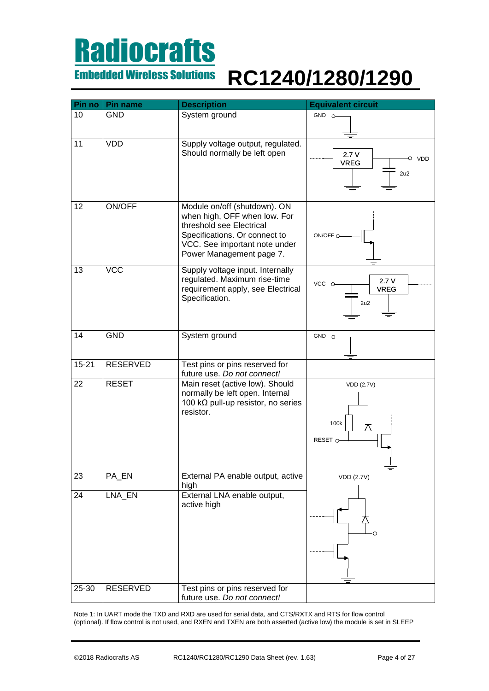## **Radiocrafts** Embedded Wireless Solutions

# **RC1240/1280/1290**

| Pin no    | <b>Pin name</b> | <b>Description</b>                                                                                                                                                                     | <b>Equivalent circuit</b>           |
|-----------|-----------------|----------------------------------------------------------------------------------------------------------------------------------------------------------------------------------------|-------------------------------------|
| 10        | <b>GND</b>      | System ground                                                                                                                                                                          | $GND$ $O-$                          |
|           |                 |                                                                                                                                                                                        |                                     |
| 11        | <b>VDD</b>      | Supply voltage output, regulated.<br>Should normally be left open                                                                                                                      | 2.7V<br>O VDD<br><b>VREG</b><br>2u2 |
| 12        | ON/OFF          | Module on/off (shutdown). ON<br>when high, OFF when low. For<br>threshold see Electrical<br>Specifications. Or connect to<br>VCC. See important note under<br>Power Management page 7. | ON/OFF O                            |
| 13        | <b>VCC</b>      | Supply voltage input. Internally<br>regulated. Maximum rise-time<br>requirement apply, see Electrical<br>Specification.                                                                | 2.7V<br>VCC O<br><b>VREG</b><br>2u2 |
| 14        | <b>GND</b>      | System ground                                                                                                                                                                          | GND 0-                              |
| $15 - 21$ | <b>RESERVED</b> | Test pins or pins reserved for<br>future use. Do not connect!                                                                                                                          |                                     |
| 22        | <b>RESET</b>    | Main reset (active low). Should<br>normally be left open. Internal<br>100 kΩ pull-up resistor, no series<br>resistor.                                                                  | VDD (2.7V)<br>100k<br>RESET O       |
| 23        | PA_EN           | External PA enable output, active<br>high                                                                                                                                              | <b>VDD (2.7V)</b>                   |
| 24        | LNA_EN          | External LNA enable output,<br>active high                                                                                                                                             |                                     |
| 25-30     | RESERVED        | Test pins or pins reserved for                                                                                                                                                         |                                     |
|           |                 | future use. Do not connect!                                                                                                                                                            |                                     |

Note 1: In UART mode the TXD and RXD are used for serial data, and CTS/RXTX and RTS for flow control (optional). If flow control is not used, and RXEN and TXEN are both asserted (active low) the module is set in SLEEP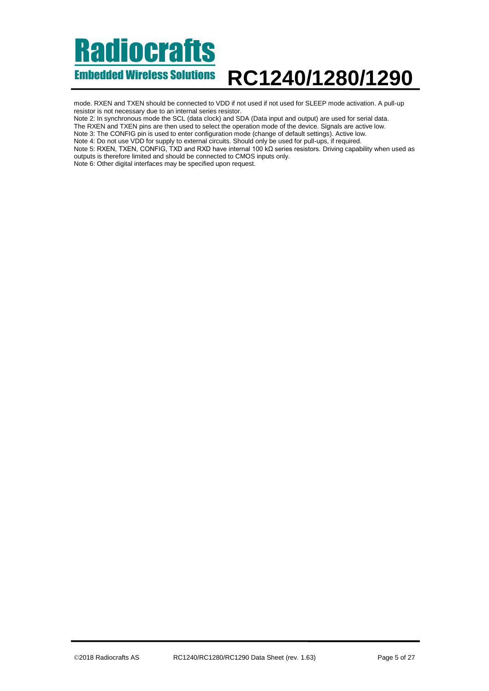mode. RXEN and TXEN should be connected to VDD if not used if not used for SLEEP mode activation. A pull-up resistor is not necessary due to an internal series resistor.

Note 2: In synchronous mode the SCL (data clock) and SDA (Data input and output) are used for serial data.

The RXEN and TXEN pins are then used to select the operation mode of the device. Signals are active low.

Note 3: The CONFIG pin is used to enter configuration mode (change of default settings). Active low.

Note 4: Do not use VDD for supply to external circuits. Should only be used for pull-ups, if required.

Note 5: RXEN, TXEN, CONFIG, TXD and RXD have internal 100 kΩ series resistors. Driving capability when used as outputs is therefore limited and should be connected to CMOS inputs only.

Note 6: Other digital interfaces may be specified upon request.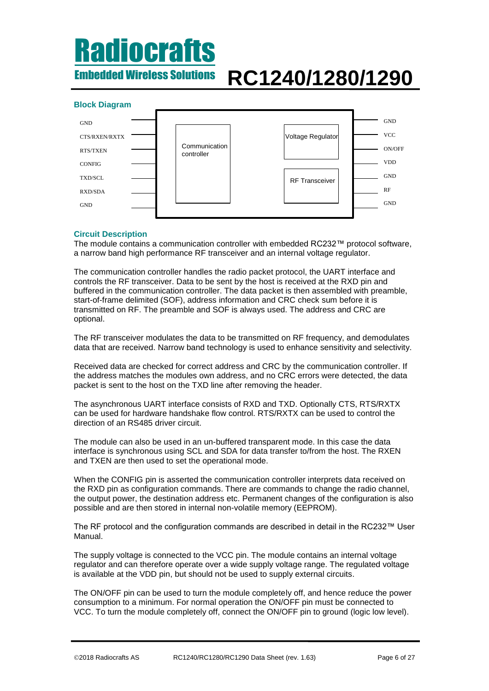## Radiocrafts Embedded Wireless Solutions

# **RC1240/1280/1290**

### **Block Diagram**



### **Circuit Description**

The module contains a communication controller with embedded RC232™ protocol software, a narrow band high performance RF transceiver and an internal voltage regulator.

The communication controller handles the radio packet protocol, the UART interface and controls the RF transceiver. Data to be sent by the host is received at the RXD pin and buffered in the communication controller. The data packet is then assembled with preamble, start-of-frame delimited (SOF), address information and CRC check sum before it is transmitted on RF. The preamble and SOF is always used. The address and CRC are optional.

The RF transceiver modulates the data to be transmitted on RF frequency, and demodulates data that are received. Narrow band technology is used to enhance sensitivity and selectivity.

Received data are checked for correct address and CRC by the communication controller. If the address matches the modules own address, and no CRC errors were detected, the data packet is sent to the host on the TXD line after removing the header.

The asynchronous UART interface consists of RXD and TXD. Optionally CTS, RTS/RXTX can be used for hardware handshake flow control. RTS/RXTX can be used to control the direction of an RS485 driver circuit.

The module can also be used in an un-buffered transparent mode. In this case the data interface is synchronous using SCL and SDA for data transfer to/from the host. The RXEN and TXEN are then used to set the operational mode.

When the CONFIG pin is asserted the communication controller interprets data received on the RXD pin as configuration commands. There are commands to change the radio channel, the output power, the destination address etc. Permanent changes of the configuration is also possible and are then stored in internal non-volatile memory (EEPROM).

The RF protocol and the configuration commands are described in detail in the RC232™ User Manual.

The supply voltage is connected to the VCC pin. The module contains an internal voltage regulator and can therefore operate over a wide supply voltage range. The regulated voltage is available at the VDD pin, but should not be used to supply external circuits.

The ON/OFF pin can be used to turn the module completely off, and hence reduce the power consumption to a minimum. For normal operation the ON/OFF pin must be connected to VCC. To turn the module completely off, connect the ON/OFF pin to ground (logic low level).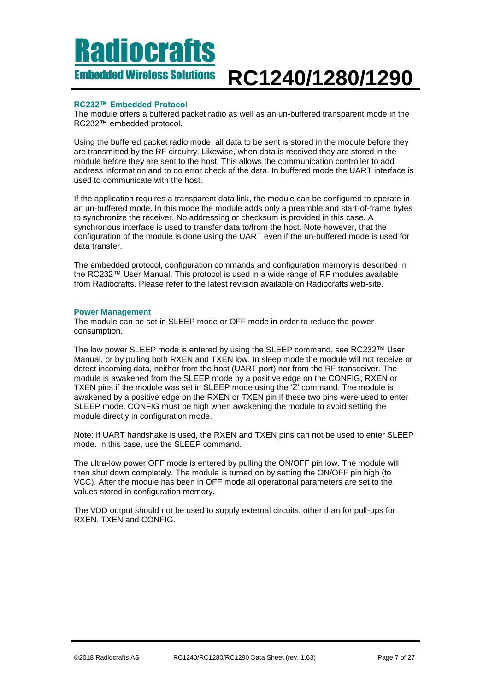#### Embedded Wireless Solutions **RC1240/1280/1290**

### **RC232™ Embedded Protocol**

The module offers a buffered packet radio as well as an un-buffered transparent mode in the RC232™ embedded protocol.

Using the buffered packet radio mode, all data to be sent is stored in the module before they are transmitted by the RF circuitry. Likewise, when data is received they are stored in the module before they are sent to the host. This allows the communication controller to add address information and to do error check of the data. In buffered mode the UART interface is used to communicate with the host.

If the application requires a transparent data link, the module can be configured to operate in an un-buffered mode. In this mode the module adds only a preamble and start-of-frame bytes to synchronize the receiver. No addressing or checksum is provided in this case. A synchronous interface is used to transfer data to/from the host. Note however, that the configuration of the module is done using the UART even if the un-buffered mode is used for data transfer.

The embedded protocol, configuration commands and configuration memory is described in the RC232™ User Manual. This protocol is used in a wide range of RF modules available from Radiocrafts. Please refer to the latest revision available on Radiocrafts web-site.

#### <span id="page-6-0"></span>**Power Management**

The module can be set in SLEEP mode or OFF mode in order to reduce the power consumption.

The low power SLEEP mode is entered by using the SLEEP command, see RC232™ User Manual, or by pulling both RXEN and TXEN low. In sleep mode the module will not receive or detect incoming data, neither from the host (UART port) nor from the RF transceiver. The module is awakened from the SLEEP mode by a positive edge on the CONFIG, RXEN or TXEN pins if the module was set in SLEEP mode using the 'Z' command. The module is awakened by a positive edge on the RXEN or TXEN pin if these two pins were used to enter SLEEP mode. CONFIG must be high when awakening the module to avoid setting the module directly in configuration mode.

Note: If UART handshake is used, the RXEN and TXEN pins can not be used to enter SLEEP mode. In this case, use the SLEEP command.

The ultra-low power OFF mode is entered by pulling the ON/OFF pin low. The module will then shut down completely. The module is turned on by setting the ON/OFF pin high (to VCC). After the module has been in OFF mode all operational parameters are set to the values stored in configuration memory.

The VDD output should not be used to supply external circuits, other than for pull-ups for RXEN, TXEN and CONFIG.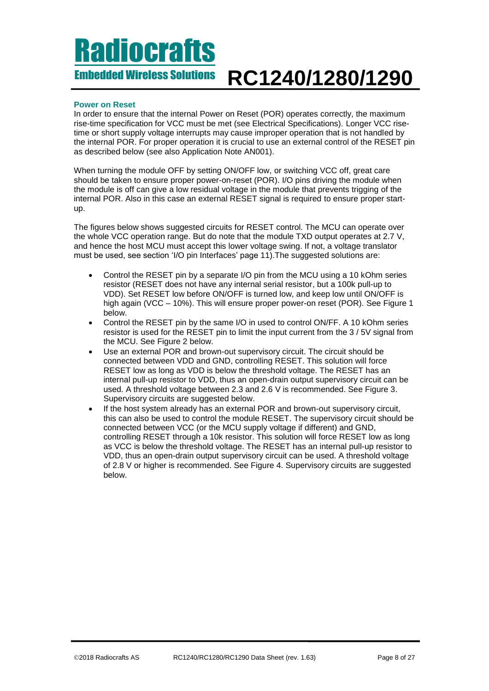#### **Power on Reset**

In order to ensure that the internal Power on Reset (POR) operates correctly, the maximum rise-time specification for VCC must be met (see Electrical Specifications). Longer VCC risetime or short supply voltage interrupts may cause improper operation that is not handled by the internal POR. For proper operation it is crucial to use an external control of the RESET pin as described below (see also Application Note AN001).

When turning the module OFF by setting ON/OFF low, or switching VCC off, great care should be taken to ensure proper power-on-reset (POR). I/O pins driving the module when the module is off can give a low residual voltage in the module that prevents trigging of the internal POR. Also in this case an external RESET signal is required to ensure proper startup.

The figures below shows suggested circuits for RESET control. The MCU can operate over the whole VCC operation range. But do note that the module TXD output operates at 2.7 V, and hence the host MCU must accept this lower voltage swing. If not, a voltage translator must be used, see section ['I/O pin Interfaces'](#page-10-0) page [11\)](#page-10-0).The suggested solutions are:

- Control the RESET pin by a separate I/O pin from the MCU using a 10 kOhm series resistor (RESET does not have any internal serial resistor, but a 100k pull-up to VDD). Set RESET low before ON/OFF is turned low, and keep low until ON/OFF is high again (VCC – 10%). This will ensure proper power-on reset (POR). See [Figure 1](#page-8-0) below.
- Control the RESET pin by the same I/O in used to control ON/FF. A 10 kOhm series resistor is used for the RESET pin to limit the input current from the 3 / 5V signal from the MCU. See [Figure 2](#page-8-1) below.
- Use an external POR and brown-out supervisory circuit. The circuit should be connected between VDD and GND, controlling RESET. This solution will force RESET low as long as VDD is below the threshold voltage. The RESET has an internal pull-up resistor to VDD, thus an open-drain output supervisory circuit can be used. A threshold voltage between 2.3 and 2.6 V is recommended. See [Figure 3.](#page-9-0) Supervisory circuits are suggested below.
- If the host system already has an external POR and brown-out supervisory circuit, this can also be used to control the module RESET. The supervisory circuit should be connected between VCC (or the MCU supply voltage if different) and GND, controlling RESET through a 10k resistor. This solution will force RESET low as long as VCC is below the threshold voltage. The RESET has an internal pull-up resistor to VDD, thus an open-drain output supervisory circuit can be used. A threshold voltage of 2.8 V or higher is recommended. See [Figure 4.](#page-9-1) Supervisory circuits are suggested below.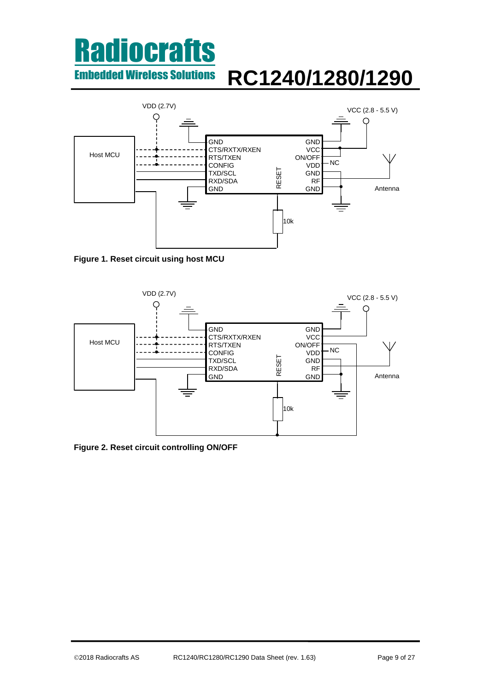

<span id="page-8-0"></span>**Figure 1. Reset circuit using host MCU**



<span id="page-8-1"></span>**Figure 2. Reset circuit controlling ON/OFF**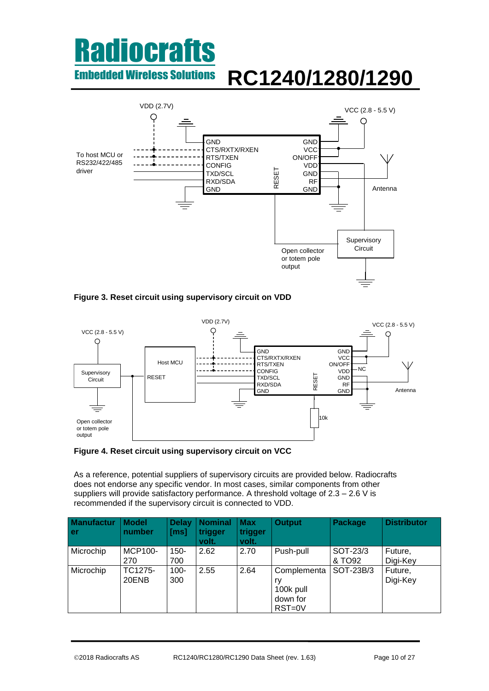

<span id="page-9-0"></span>



<span id="page-9-1"></span>**Figure 4. Reset circuit using supervisory circuit on VCC**

As a reference, potential suppliers of supervisory circuits are provided below. Radiocrafts does not endorse any specific vendor. In most cases, similar components from other suppliers will provide satisfactory performance. A threshold voltage of 2.3 – 2.6 V is recommended if the supervisory circuit is connected to VDD.

| <b>Manufactur</b><br>l er | <b>Model</b><br>number | <b>Delay</b><br>[ms] | <b>Nominal</b><br>trigger<br>volt. | <b>Max</b><br>trigger<br>volt. | <b>Output</b>                                        | Package            | <b>Distributor</b>  |
|---------------------------|------------------------|----------------------|------------------------------------|--------------------------------|------------------------------------------------------|--------------------|---------------------|
| Microchip                 | <b>MCP100-</b><br>270  | $150 -$<br>700       | 2.62                               | 2.70                           | Push-pull                                            | SOT-23/3<br>& TO92 | Future,<br>Digi-Key |
| Microchip                 | TC1275-<br>20ENB       | $100 -$<br>300       | 2.55                               | 2.64                           | Complementa<br>ry<br>100k pull<br>down for<br>RST=0V | SOT-23B/3          | Future,<br>Digi-Key |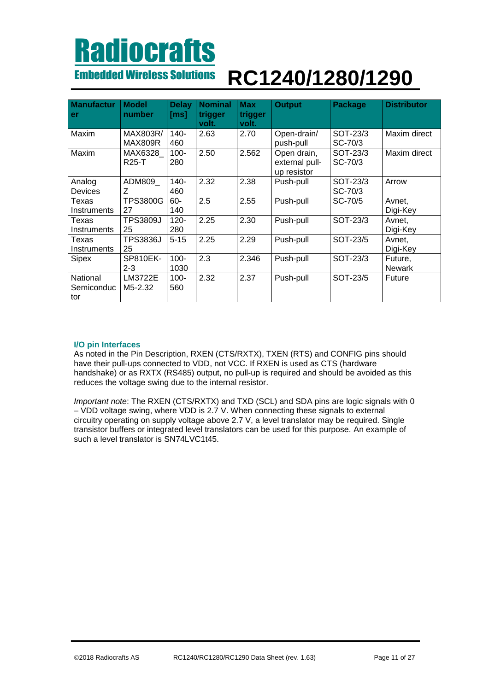### Embedded Wireless Solutions **RC1240/1280/1290**

| <b>Manufactur</b> | <b>Model</b> | Delay    | <b>Nominal</b> | <b>Max</b> | <b>Output</b>  | <b>Package</b> | <b>Distributor</b> |
|-------------------|--------------|----------|----------------|------------|----------------|----------------|--------------------|
| er                | number       | [ms]     | trigger        | trigger    |                |                |                    |
|                   |              |          | volt.          | volt.      |                |                |                    |
| Maxim             | MAX803R/     | $140 -$  | 2.63           | 2.70       | Open-drain/    | SOT-23/3       | Maxim direct       |
|                   | MAX809R      | 460      |                |            | push-pull      | SC-70/3        |                    |
| Maxim             | MAX6328      | $100 -$  | 2.50           | 2.562      | Open drain,    | SOT-23/3       | Maxim direct       |
|                   | <b>R25-T</b> | 280      |                |            | external pull- | SC-70/3        |                    |
|                   |              |          |                |            | up resistor    |                |                    |
| Analog            | ADM809       | $140 -$  | 2.32           | 2.38       | Push-pull      | SOT-23/3       | Arrow              |
| <b>Devices</b>    | Z            | 460      |                |            |                | SC-70/3        |                    |
| Texas             | TPS3800G     | $60 -$   | 2.5            | 2.55       | Push-pull      | SC-70/5        | Avnet,             |
| Instruments       | 27           | 140      |                |            |                |                | Digi-Key           |
| Texas             | TPS3809J     | $120 -$  | 2.25           | 2.30       | Push-pull      | SOT-23/3       | Avnet,             |
| Instruments       | 25           | 280      |                |            |                |                | Digi-Key           |
| Texas             | TPS3836J     | $5 - 15$ | 2.25           | 2.29       | Push-pull      | SOT-23/5       | Avnet,             |
| Instruments       | 25           |          |                |            |                |                | Digi-Key           |
| Sipex             | SP810EK-     | $100 -$  | 2.3            | 2.346      | Push-pull      | SOT-23/3       | Future,            |
|                   | $2 - 3$      | 1030     |                |            |                |                | <b>Newark</b>      |
| National          | LM3722E      | $100 -$  | 2.32           | 2.37       | Push-pull      | SOT-23/5       | Future             |
| Semiconduc        | M5-2.32      | 560      |                |            |                |                |                    |
| tor               |              |          |                |            |                |                |                    |

#### <span id="page-10-0"></span>**I/O pin Interfaces**

As noted in the Pin Description, RXEN (CTS/RXTX), TXEN (RTS) and CONFIG pins should have their pull-ups connected to VDD, not VCC. If RXEN is used as CTS (hardware handshake) or as RXTX (RS485) output, no pull-up is required and should be avoided as this reduces the voltage swing due to the internal resistor.

*Important note*: The RXEN (CTS/RXTX) and TXD (SCL) and SDA pins are logic signals with 0 – VDD voltage swing, where VDD is 2.7 V. When connecting these signals to external circuitry operating on supply voltage above 2.7 V, a level translator may be required. Single transistor buffers or integrated level translators can be used for this purpose. An example of such a level translator is SN74LVC1t45.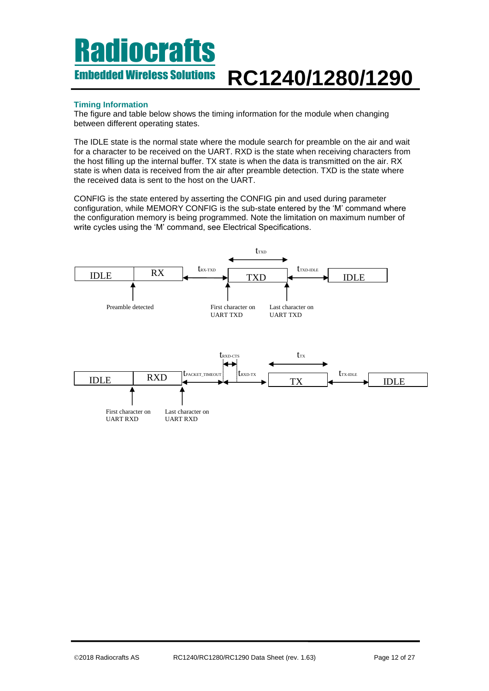### **Timing Information**

The figure and table below shows the timing information for the module when changing between different operating states.

The IDLE state is the normal state where the module search for preamble on the air and wait for a character to be received on the UART. RXD is the state when receiving characters from the host filling up the internal buffer. TX state is when the data is transmitted on the air. RX state is when data is received from the air after preamble detection. TXD is the state where the received data is sent to the host on the UART.

CONFIG is the state entered by asserting the CONFIG pin and used during parameter configuration, while MEMORY CONFIG is the sub-state entered by the 'M' command where the configuration memory is being programmed. Note the limitation on maximum number of write cycles using the 'M' command, see Electrical Specifications.

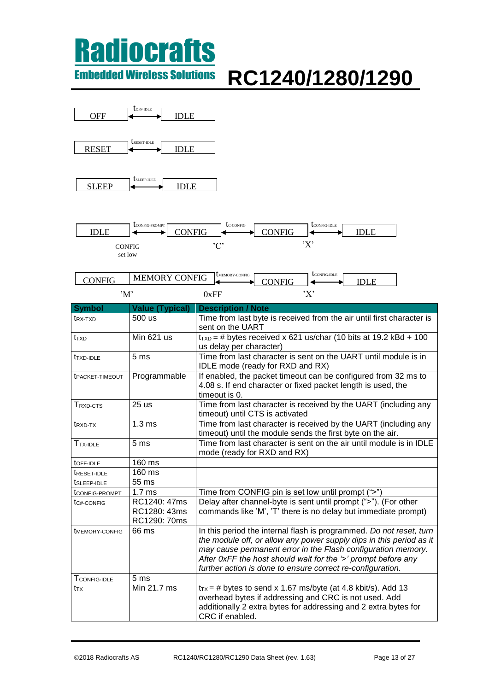### **Radiocrafts** Embedded Wireless Solutions

# **RC1240/1280/1290**

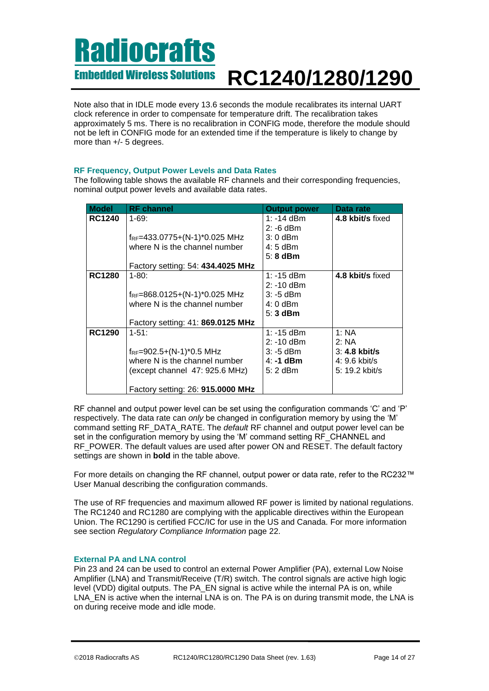Note also that in IDLE mode every 13.6 seconds the module recalibrates its internal UART clock reference in order to compensate for temperature drift. The recalibration takes approximately 5 ms. There is no recalibration in CONFIG mode, therefore the module should not be left in CONFIG mode for an extended time if the temperature is likely to change by more than +/- 5 degrees.

### **RF Frequency, Output Power Levels and Data Rates**

The following table shows the available RF channels and their corresponding frequencies, nominal output power levels and available data rates.

| <b>Model</b>  | <b>RF</b> channel                         | <b>Output power</b> | Data rate        |
|---------------|-------------------------------------------|---------------------|------------------|
| <b>RC1240</b> | $1 - 69:$                                 | 1: -14 dBm          | 4.8 kbit/s fixed |
|               |                                           | $2: -6$ dBm         |                  |
|               | f <sub>RF</sub> =433.0775+(N-1)*0.025 MHz | $3:0$ dBm           |                  |
|               | where N is the channel number             | 4: 5 dBm            |                  |
|               |                                           | $5:8$ dBm           |                  |
|               | Factory setting: 54: 434.4025 MHz         |                     |                  |
| <b>RC1280</b> | $1 - 80:$                                 | 1: $-15$ dBm        | 4.8 kbit/s fixed |
|               |                                           | $2: -10$ dBm        |                  |
|               | $f_{RF} = 868.0125 + (N-1)*0.025$ MHz     | $3: -5$ dBm         |                  |
|               | where N is the channel number             | $4:0$ dBm           |                  |
|               |                                           | $5:3$ dBm           |                  |
|               | Factory setting: 41: 869.0125 MHz         |                     |                  |
| <b>RC1290</b> | $1 - 51$ :                                | $1: -15$ dBm        | 1:NA             |
|               |                                           | $2: -10$ dBm        | 2:NA             |
|               | fRF=902.5+(N-1)*0.5 MHz                   | $3: -5$ dBm         | $3: 4.8$ kbit/s  |
|               | where N is the channel number             | $4: -1$ dBm         | $4:9.6$ kbit/s   |
|               | (except channel 47: 925.6 MHz)            | $5:2$ dBm           | 5: 19.2 kbit/s   |
|               |                                           |                     |                  |
|               | Factory setting: 26: 915.0000 MHz         |                     |                  |

RF channel and output power level can be set using the configuration commands 'C' and 'P' respectively. The data rate can *only* be changed in configuration memory by using the 'M' command setting RF\_DATA\_RATE. The *default* RF channel and output power level can be set in the configuration memory by using the 'M' command setting RF\_CHANNEL and RF\_POWER. The default values are used after power ON and RESET. The default factory settings are shown in **bold** in the table above.

For more details on changing the RF channel, output power or data rate, refer to the RC232™ User Manual describing the configuration commands.

The use of RF frequencies and maximum allowed RF power is limited by national regulations. The RC1240 and RC1280 are complying with the applicable directives within the European Union. The RC1290 is certified FCC/IC for use in the US and Canada. For more information see section *[Regulatory Compliance Information](#page-21-0)* page [22.](#page-21-0)

### **External PA and LNA control**

Pin 23 and 24 can be used to control an external Power Amplifier (PA), external Low Noise Amplifier (LNA) and Transmit/Receive (T/R) switch. The control signals are active high logic level (VDD) digital outputs. The PA\_EN signal is active while the internal PA is on, while LNA EN is active when the internal LNA is on. The PA is on during transmit mode, the LNA is on during receive mode and idle mode.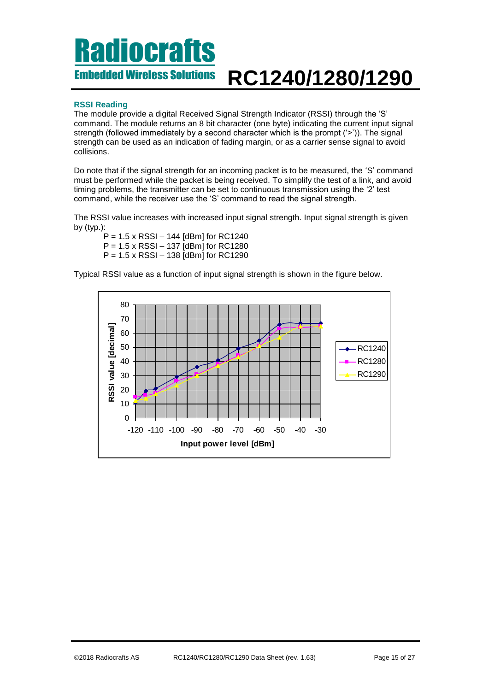### **RSSI Reading**

The module provide a digital Received Signal Strength Indicator (RSSI) through the 'S' command. The module returns an 8 bit character (one byte) indicating the current input signal strength (followed immediately by a second character which is the prompt ('>')). The signal strength can be used as an indication of fading margin, or as a carrier sense signal to avoid collisions.

Do note that if the signal strength for an incoming packet is to be measured, the 'S' command must be performed while the packet is being received. To simplify the test of a link, and avoid timing problems, the transmitter can be set to continuous transmission using the '2' test command, while the receiver use the 'S' command to read the signal strength.

The RSSI value increases with increased input signal strength. Input signal strength is given by (typ.):

P = 1.5 x RSSI – 144 [dBm] for RC1240 P = 1.5 x RSSI – 137 [dBm] for RC1280 P = 1.5 x RSSI – 138 [dBm] for RC1290

Typical RSSI value as a function of input signal strength is shown in the figure below.

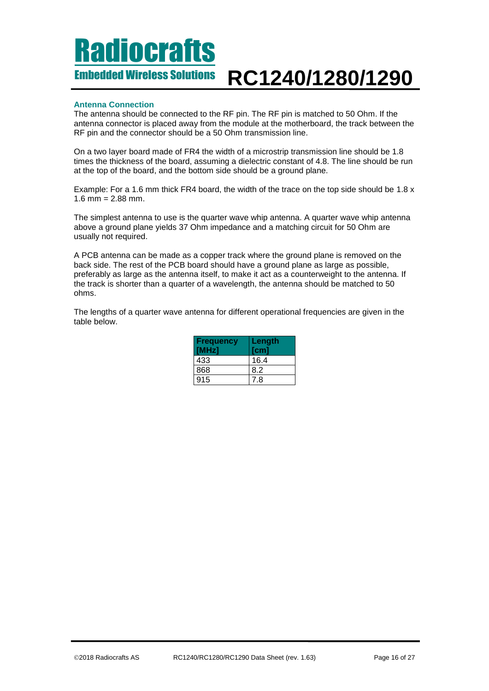### **Antenna Connection**

The antenna should be connected to the RF pin. The RF pin is matched to 50 Ohm. If the antenna connector is placed away from the module at the motherboard, the track between the RF pin and the connector should be a 50 Ohm transmission line.

On a two layer board made of FR4 the width of a microstrip transmission line should be 1.8 times the thickness of the board, assuming a dielectric constant of 4.8. The line should be run at the top of the board, and the bottom side should be a ground plane.

Example: For a 1.6 mm thick FR4 board, the width of the trace on the top side should be 1.8 x  $1.6$  mm =  $2.88$  mm.

The simplest antenna to use is the quarter wave whip antenna. A quarter wave whip antenna above a ground plane yields 37 Ohm impedance and a matching circuit for 50 Ohm are usually not required.

A PCB antenna can be made as a copper track where the ground plane is removed on the back side. The rest of the PCB board should have a ground plane as large as possible, preferably as large as the antenna itself, to make it act as a counterweight to the antenna. If the track is shorter than a quarter of a wavelength, the antenna should be matched to 50 ohms.

The lengths of a quarter wave antenna for different operational frequencies are given in the table below.

| <b>Frequency</b><br>[MHz] | Length<br>[cm] |
|---------------------------|----------------|
| 433                       | 16.4           |
| 868                       | 8.2            |
| 915                       | 7 8            |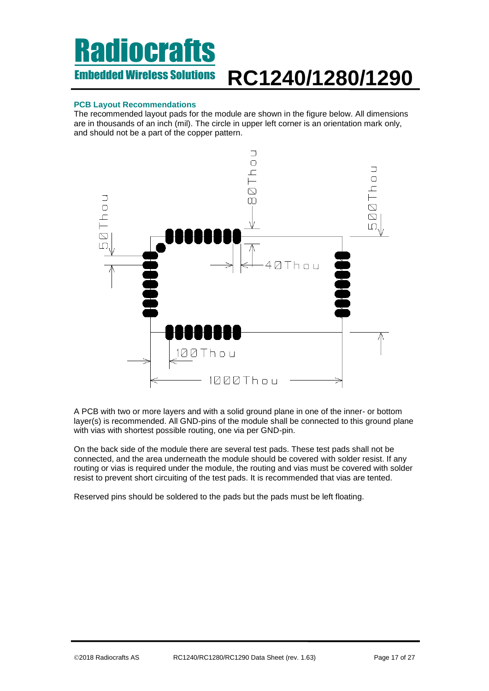### **PCB Layout Recommendations**

The recommended layout pads for the module are shown in the figure below. All dimensions are in thousands of an inch (mil). The circle in upper left corner is an orientation mark only, and should not be a part of the copper pattern.



A PCB with two or more layers and with a solid ground plane in one of the inner- or bottom layer(s) is recommended. All GND-pins of the module shall be connected to this ground plane with vias with shortest possible routing, one via per GND-pin.

On the back side of the module there are several test pads. These test pads shall not be connected, and the area underneath the module should be covered with solder resist. If any routing or vias is required under the module, the routing and vias must be covered with solder resist to prevent short circuiting of the test pads. It is recommended that vias are tented.

Reserved pins should be soldered to the pads but the pads must be left floating.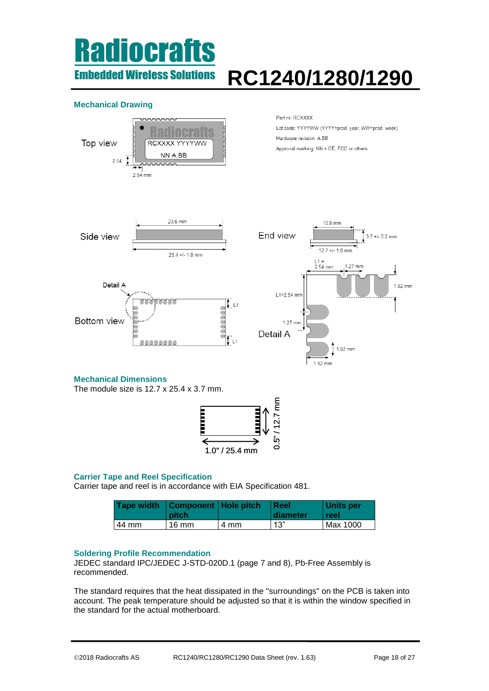## **liocrafts** Embedded Wireless Solutions

# **RC1240/1280/1290**

### **Mechanical Drawing**



The module size is 12.7 x 25.4 x 3.7 mm.



### **Carrier Tape and Reel Specification**

Carrier tape and reel is in accordance with EIA Specification 481.

|       | Tape width   Component   Hole pitch<br><b>pitch</b> |      | l Reel<br>diameter | Units per<br><b>reel</b> |
|-------|-----------------------------------------------------|------|--------------------|--------------------------|
| 44 mm | $16 \text{ mm}$                                     | 4 mm | 13"                | Max 1000                 |

### **Soldering Profile Recommendation**

JEDEC standard IPC/JEDEC J-STD-020D.1 (page 7 and 8), Pb-Free Assembly is recommended.

The standard requires that the heat dissipated in the "surroundings" on the PCB is taken into account. The peak temperature should be adjusted so that it is within the window specified in the standard for the actual motherboard.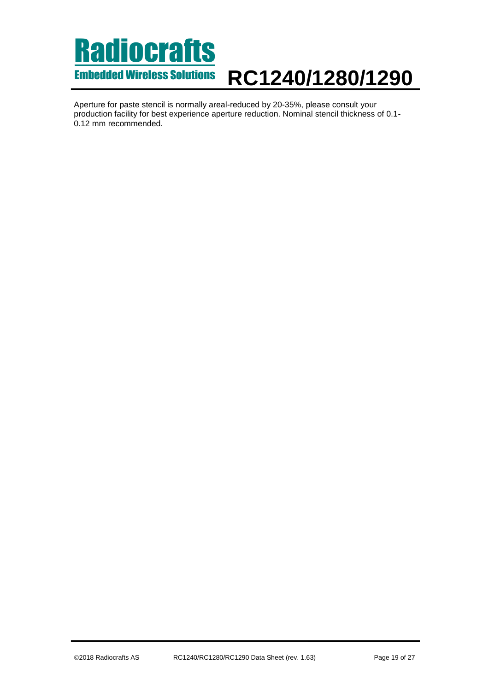Aperture for paste stencil is normally areal-reduced by 20-35%, please consult your production facility for best experience aperture reduction. Nominal stencil thickness of 0.1- 0.12 mm recommended.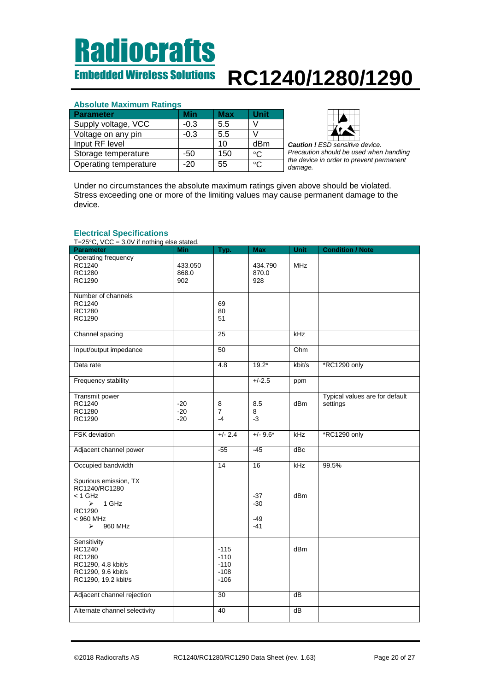### **Absolute Maximum Ratings**

| Parameter             | Min    | Max | Unit         |
|-----------------------|--------|-----|--------------|
| Supply voltage, VCC   | $-0.3$ | 5.5 |              |
| Voltage on any pin    | $-0.3$ | 5.5 |              |
| Input RF level        |        | 10  | dBm          |
| Storage temperature   | -50    | 150 | $^{\circ}$ C |
| Operating temperature | $-20$  | 55  | ∘∩           |



 *Caution ! ESD sensitive device. Precaution should be used when handling the device in order to prevent permanent damage.*

Under no circumstances the absolute maximum ratings given above should be violated. Stress exceeding one or more of the limiting values may cause permanent damage to the device.

### <span id="page-19-0"></span>**Electrical Specifications**

T=25°C, VCC = 3.0V if nothing else stated.

| $1 - 20$ O, $\sqrt{0}$ $- 0.0$ $\sqrt{0}$ in Holding Clab stated.<br>Parameter | <b>Min</b> | Typ.            | <b>Max</b> | Unit            | <b>Condition / Note</b>        |
|--------------------------------------------------------------------------------|------------|-----------------|------------|-----------------|--------------------------------|
| Operating frequency                                                            |            |                 |            |                 |                                |
|                                                                                |            |                 |            |                 |                                |
| RC1240                                                                         | 433.050    |                 | 434.790    | <b>MHz</b>      |                                |
| RC1280                                                                         | 868.0      |                 | 870.0      |                 |                                |
| RC1290                                                                         | 902        |                 | 928        |                 |                                |
|                                                                                |            |                 |            |                 |                                |
| Number of channels                                                             |            |                 |            |                 |                                |
| RC1240                                                                         |            | 69              |            |                 |                                |
| RC1280                                                                         |            | 80              |            |                 |                                |
|                                                                                |            |                 |            |                 |                                |
| RC1290                                                                         |            | 51              |            |                 |                                |
|                                                                                |            |                 |            |                 |                                |
| Channel spacing                                                                |            | 25              |            | kHz             |                                |
|                                                                                |            |                 |            |                 |                                |
| Input/output impedance                                                         |            | $\overline{50}$ |            | Ohm             |                                |
|                                                                                |            |                 |            |                 |                                |
| Data rate                                                                      |            | 4.8             | $19.2*$    | kbit/s          | *RC1290 only                   |
|                                                                                |            |                 |            |                 |                                |
|                                                                                |            |                 |            |                 |                                |
| Frequency stability                                                            |            |                 | $+/-2.5$   | ppm             |                                |
|                                                                                |            |                 |            |                 |                                |
| Transmit power                                                                 |            |                 |            |                 | Typical values are for default |
| RC1240                                                                         | $-20$      | 8               | 8.5        | dB <sub>m</sub> | settings                       |
| RC1280                                                                         | $-20$      | $\overline{7}$  | 8          |                 |                                |
|                                                                                |            | $-4$            | $-3$       |                 |                                |
| RC1290                                                                         | $-20$      |                 |            |                 |                                |
|                                                                                |            |                 |            |                 |                                |
| <b>FSK</b> deviation                                                           |            | $+/- 2.4$       | $+/- 9.6*$ | kHz             | *RC1290 only                   |
|                                                                                |            |                 |            |                 |                                |
| Adjacent channel power                                                         |            | $-55$           | $-45$      | dBc             |                                |
|                                                                                |            |                 |            |                 |                                |
| Occupied bandwidth                                                             |            | 14              | 16         | kHz             | 99.5%                          |
|                                                                                |            |                 |            |                 |                                |
|                                                                                |            |                 |            |                 |                                |
| Spurious emission, TX                                                          |            |                 |            |                 |                                |
| RC1240/RC1280                                                                  |            |                 |            |                 |                                |
| < 1 GHz                                                                        |            |                 | $-37$      | dBm             |                                |
| $\triangleright$ 1 GHz                                                         |            |                 | $-30$      |                 |                                |
| RC1290                                                                         |            |                 |            |                 |                                |
| < 960 MHz                                                                      |            |                 | $-49$      |                 |                                |
| 960 MHz<br>➤                                                                   |            |                 | $-41$      |                 |                                |
|                                                                                |            |                 |            |                 |                                |
|                                                                                |            |                 |            |                 |                                |
| Sensitivity                                                                    |            |                 |            |                 |                                |
| RC1240                                                                         |            | $-115$          |            | dB <sub>m</sub> |                                |
| RC1280                                                                         |            | $-110$          |            |                 |                                |
| RC1290, 4.8 kbit/s                                                             |            | $-110$          |            |                 |                                |
| RC1290, 9.6 kbit/s                                                             |            | $-108$          |            |                 |                                |
| RC1290, 19.2 kbit/s                                                            |            | $-106$          |            |                 |                                |
|                                                                                |            |                 |            |                 |                                |
|                                                                                |            |                 |            |                 |                                |
| Adjacent channel rejection                                                     |            | 30              |            | dB              |                                |
|                                                                                |            |                 |            |                 |                                |
| Alternate channel selectivity                                                  |            | 40              |            | $\overline{dB}$ |                                |
|                                                                                |            |                 |            |                 |                                |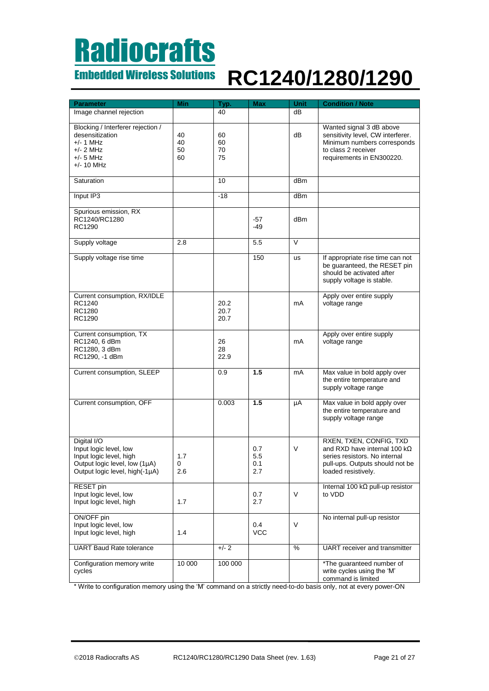### Embedded Wireless Solutions **RC1240/1280/1290**

| <b>Parameter</b>                                                                                                                    | Min                  | Typ.                 | <b>Max</b>               | Unit            | <b>Condition / Note</b>                                                                                                                                   |
|-------------------------------------------------------------------------------------------------------------------------------------|----------------------|----------------------|--------------------------|-----------------|-----------------------------------------------------------------------------------------------------------------------------------------------------------|
| Image channel rejection                                                                                                             |                      | 40                   |                          | dB              |                                                                                                                                                           |
|                                                                                                                                     |                      |                      |                          |                 |                                                                                                                                                           |
| Blocking / Interferer rejection /<br>desensitization<br>$+/- 1$ MHz<br>$+/- 2$ MHz<br>+/- 5 MHz<br>+/- 10 MHz                       | 40<br>40<br>50<br>60 | 60<br>60<br>70<br>75 |                          | dB              | Wanted signal 3 dB above<br>sensitivity level, CW interferer.<br>Minimum numbers corresponds<br>to class 2 receiver<br>requirements in EN300220.          |
| Saturation                                                                                                                          |                      | 10                   |                          | dBm             |                                                                                                                                                           |
| Input IP3                                                                                                                           |                      | $-18$                |                          | dBm             |                                                                                                                                                           |
| Spurious emission, RX<br>RC1240/RC1280<br>RC1290                                                                                    |                      |                      | -57<br>$-49$             | dB <sub>m</sub> |                                                                                                                                                           |
| Supply voltage                                                                                                                      | 2.8                  |                      | 5.5                      | $\vee$          |                                                                                                                                                           |
| Supply voltage rise time                                                                                                            |                      |                      | 150                      | <b>us</b>       | If appropriate rise time can not<br>be quaranteed, the RESET pin<br>should be activated after<br>supply voltage is stable.                                |
| Current consumption, RX/IDLE<br>RC1240<br>RC1280<br>RC1290                                                                          |                      | 20.2<br>20.7<br>20.7 |                          | mA              | Apply over entire supply<br>voltage range                                                                                                                 |
| Current consumption, TX<br>RC1240, 6 dBm<br>RC1280, 3 dBm<br>RC1290, -1 dBm                                                         |                      | 26<br>28<br>22.9     |                          | mA              | Apply over entire supply<br>voltage range                                                                                                                 |
| Current consumption, SLEEP                                                                                                          |                      | 0.9                  | 1.5                      | mA              | Max value in bold apply over<br>the entire temperature and<br>supply voltage range                                                                        |
| Current consumption, OFF                                                                                                            |                      | 0.003                | 1.5                      | μA              | Max value in bold apply over<br>the entire temperature and<br>supply voltage range                                                                        |
| Digital I/O<br>Input logic level, low<br>Input logic level, high<br>Output logic level, low (1µA)<br>Output logic level, high(-1µA) | 1.7<br>0<br>2.6      |                      | 0.7<br>5.5<br>0.1<br>2.7 | V               | RXEN, TXEN, CONFIG, TXD<br>and RXD have internal 100 $k\Omega$<br>series resistors. No internal<br>pull-ups. Outputs should not be<br>loaded resistively. |
| RESET pin<br>Input logic level, low<br>Input logic level, high                                                                      | 1.7                  |                      | 0.7<br>2.7               | V               | Internal 100 k $\Omega$ pull-up resistor<br>to VDD                                                                                                        |
| ON/OFF pin<br>Input logic level, low<br>Input logic level, high                                                                     | 1.4                  |                      | 0.4<br><b>VCC</b>        | V               | No internal pull-up resistor                                                                                                                              |
| <b>UART Baud Rate tolerance</b>                                                                                                     |                      | $+/- 2$              |                          | %               | <b>UART</b> receiver and transmitter                                                                                                                      |
| Configuration memory write<br>cycles                                                                                                | 10 000               | 100 000              |                          |                 | *The guaranteed number of<br>write cycles using the 'M'<br>command is limited                                                                             |

\* Write to configuration memory using the 'M' command on a strictly need-to-do basis only, not at every power-ON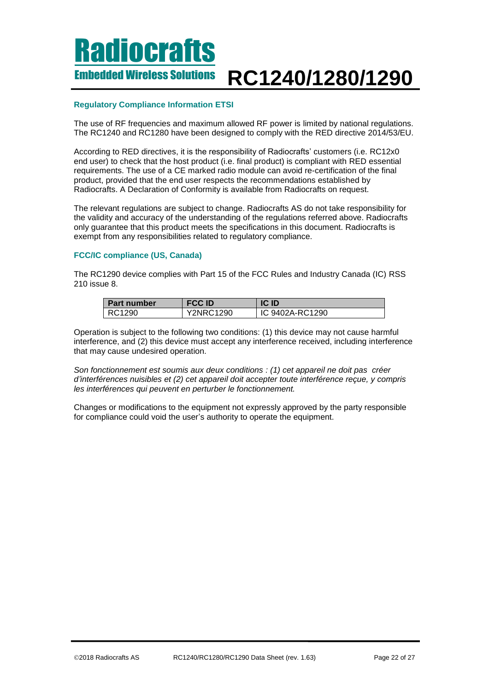### <span id="page-21-0"></span>**Regulatory Compliance Information ETSI**

The use of RF frequencies and maximum allowed RF power is limited by national regulations. The RC1240 and RC1280 have been designed to comply with the RED directive 2014/53/EU.

According to RED directives, it is the responsibility of Radiocrafts' customers (i.e. RC12x0 end user) to check that the host product (i.e. final product) is compliant with RED essential requirements. The use of a CE marked radio module can avoid re-certification of the final product, provided that the end user respects the recommendations established by Radiocrafts. A Declaration of Conformity is available from Radiocrafts on request.

The relevant regulations are subject to change. Radiocrafts AS do not take responsibility for the validity and accuracy of the understanding of the regulations referred above. Radiocrafts only guarantee that this product meets the specifications in this document. Radiocrafts is exempt from any responsibilities related to regulatory compliance.

### **FCC/IC compliance (US, Canada)**

The RC1290 device complies with Part 15 of the FCC Rules and Industry Canada (IC) RSS 210 issue 8.

| <b>Part number</b> | <b>FCC ID</b>    | <b>ICID</b>     |
|--------------------|------------------|-----------------|
| RC1290             | <b>Y2NRC1290</b> | IC 9402A-RC1290 |

Operation is subject to the following two conditions: (1) this device may not cause harmful interference, and (2) this device must accept any interference received, including interference that may cause undesired operation.

*Son fonctionnement est soumis aux deux conditions : (1) cet appareil ne doit pas créer d'interférences nuisibles et (2) cet appareil doit accepter toute interférence reçue, y compris les interférences qui peuvent en perturber le fonctionnement.*

Changes or modifications to the equipment not expressly approved by the party responsible for compliance could void the user's authority to operate the equipment.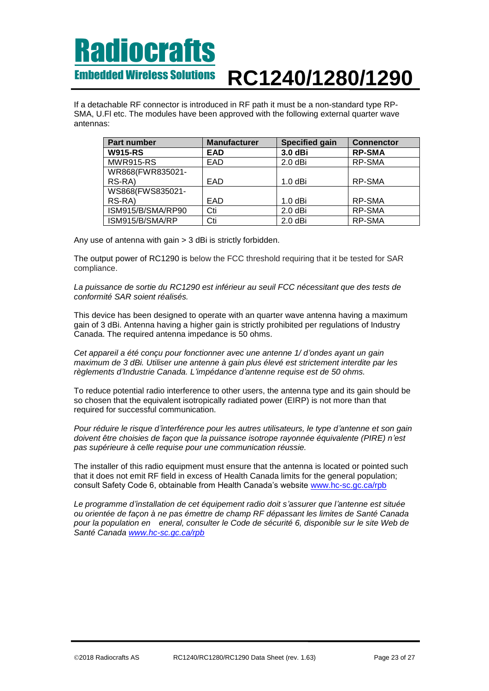If a detachable RF connector is introduced in RF path it must be a non-standard type RP-SMA, U.Fl etc. The modules have been approved with the following external quarter wave antennas:

| Part number       | <b>Manufacturer</b> | <b>Specified gain</b> | <b>Connenctor</b> |
|-------------------|---------------------|-----------------------|-------------------|
| <b>W915-RS</b>    | <b>EAD</b>          | 3.0 dBi               | <b>RP-SMA</b>     |
| <b>MWR915-RS</b>  | EAD                 | $2.0$ dBi             | RP-SMA            |
| WR868(FWR835021-  |                     |                       |                   |
| RS-RA)            | EAD                 | $1.0$ dBi             | RP-SMA            |
| WS868(FWS835021-  |                     |                       |                   |
| RS-RA)            | EAD                 | $1.0$ dBi             | RP-SMA            |
| ISM915/B/SMA/RP90 | Cti                 | $2.0$ dBi             | RP-SMA            |
| ISM915/B/SMA/RP   | Cti                 | $2.0$ dBi             | RP-SMA            |

Any use of antenna with gain > 3 dBi is strictly forbidden.

The output power of RC1290 is below the FCC threshold requiring that it be tested for SAR compliance.

*La puissance de sortie du RC1290 est inférieur au seuil FCC nécessitant que des tests de conformité SAR soient réalisés.*

This device has been designed to operate with an quarter wave antenna having a maximum gain of 3 dBi. Antenna having a higher gain is strictly prohibited per regulations of Industry Canada. The required antenna impedance is 50 ohms.

*Cet appareil a été conçu pour fonctionner avec une antenne 1/ d'ondes ayant un gain maximum de 3 dBi. Utiliser une antenne à gain plus élevé est strictement interdite par les règlements d'Industrie Canada. L'impédance d'antenne requise est de 50 ohms.*

To reduce potential radio interference to other users, the antenna type and its gain should be so chosen that the equivalent isotropically radiated power (EIRP) is not more than that required for successful communication.

*Pour réduire le risque d'interférence pour les autres utilisateurs, le type d'antenne et son gain doivent être choisies de façon que la puissance isotrope rayonnée équivalente (PIRE) n'est pas supérieure à celle requise pour une communication réussie.*

The installer of this radio equipment must ensure that the antenna is located or pointed such that it does not emit RF field in excess of Health Canada limits for the general population; consult Safety Code 6, obtainable from Health Canada's website [www.hc-sc.gc.ca/rpb](http://www.hc-sc.gc.ca/rpb)

*Le programme d'installation de cet équipement radio doit s'assurer que l'antenne est située ou orientée de façon à ne pas émettre de champ RF dépassant les limites de Santé Canada pour la population en eneral, consulter le Code de sécurité 6, disponible sur le site Web de Santé Canada [www.hc-sc.gc.ca/rpb](http://www.hc-sc.gc.ca/rpb)*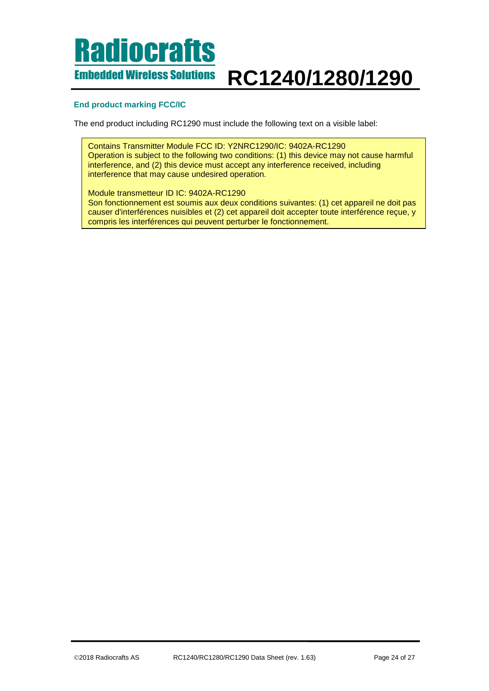### Embedded Wireless Solutions **RC1240/1280/1290**

### **End product marking FCC/IC**

The end product including RC1290 must include the following text on a visible label:

Contains Transmitter Module FCC ID: Y2NRC1290/IC: 9402A-RC1290 Operation is subject to the following two conditions: (1) this device may not cause harmful interference, and (2) this device must accept any interference received, including interference that may cause undesired operation.

Module transmetteur ID IC: 9402A-RC1290 Son fonctionnement est soumis aux deux conditions suivantes: (1) cet appareil ne doit pas causer d'interférences nuisibles et (2) cet appareil doit accepter toute interférence reçue, y compris les interférences qui peuvent perturber le fonctionnement.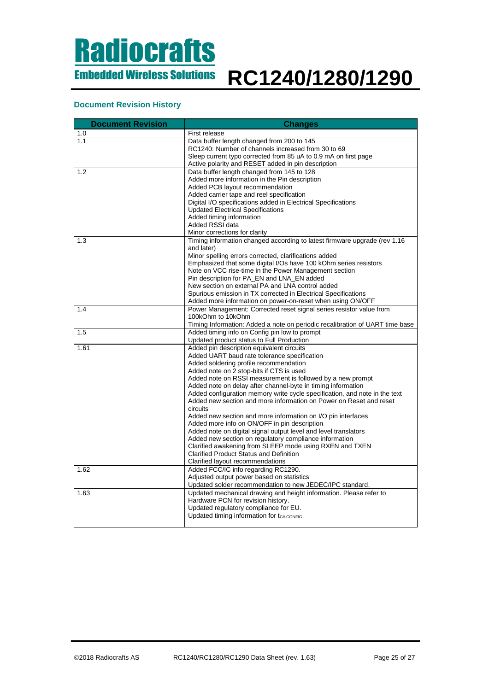### **Document Revision History**

| <b>Document Revision</b> | <b>Changes</b>                                                                                            |  |
|--------------------------|-----------------------------------------------------------------------------------------------------------|--|
| 1.0                      | First release                                                                                             |  |
| 1.1                      | Data buffer length changed from 200 to 145                                                                |  |
|                          | RC1240: Number of channels increased from 30 to 69                                                        |  |
|                          | Sleep current typo corrected from 85 uA to 0.9 mA on first page                                           |  |
|                          | Active polarity and RESET added in pin description                                                        |  |
| 1.2                      | Data buffer length changed from 145 to 128                                                                |  |
|                          | Added more information in the Pin description                                                             |  |
|                          | Added PCB layout recommendation                                                                           |  |
|                          | Added carrier tape and reel specification                                                                 |  |
|                          | Digital I/O specifications added in Electrical Specifications<br><b>Updated Electrical Specifications</b> |  |
|                          | Added timing information                                                                                  |  |
|                          | Added RSSI data                                                                                           |  |
|                          | Minor corrections for clarity                                                                             |  |
| 1.3                      | Timing information changed according to latest firmware upgrade (rev 1.16                                 |  |
|                          | and later)                                                                                                |  |
|                          | Minor spelling errors corrected, clarifications added                                                     |  |
|                          | Emphasized that some digital I/Os have 100 kOhm series resistors                                          |  |
|                          | Note on VCC rise-time in the Power Management section                                                     |  |
|                          | Pin description for PA_EN and LNA_EN added                                                                |  |
|                          | New section on external PA and LNA control added                                                          |  |
|                          | Spurious emission in TX corrected in Electrical Specifications                                            |  |
|                          | Added more information on power-on-reset when using ON/OFF                                                |  |
| 1.4                      | Power Management: Corrected reset signal series resistor value from                                       |  |
|                          | 100kOhm to 10kOhm                                                                                         |  |
|                          | Timing Information: Added a note on periodic recalibration of UART time base                              |  |
| 1.5                      | Added timing info on Config pin low to prompt                                                             |  |
| 1.61                     | Updated product status to Full Production<br>Added pin description equivalent circuits                    |  |
|                          | Added UART baud rate tolerance specification                                                              |  |
|                          | Added soldering profile recommendation                                                                    |  |
|                          | Added note on 2 stop-bits if CTS is used                                                                  |  |
|                          | Added note on RSSI measurement is followed by a new prompt                                                |  |
|                          | Added note on delay after channel-byte in timing information                                              |  |
|                          | Added configuration memory write cycle specification, and note in the text                                |  |
|                          | Added new section and more information on Power on Reset and reset                                        |  |
|                          | circuits                                                                                                  |  |
|                          | Added new section and more information on I/O pin interfaces                                              |  |
|                          | Added more info on ON/OFF in pin description                                                              |  |
|                          | Added note on digital signal output level and level translators                                           |  |
|                          | Added new section on regulatory compliance information                                                    |  |
|                          | Clarified awakening from SLEEP mode using RXEN and TXEN<br><b>Clarified Product Status and Definition</b> |  |
|                          |                                                                                                           |  |
| 1.62                     | Clarified layout recommendations<br>Added FCC/IC info regarding RC1290.                                   |  |
|                          | Adjusted output power based on statistics                                                                 |  |
|                          | Updated solder recommendation to new JEDEC/IPC standard.                                                  |  |
| 1.63                     | Updated mechanical drawing and height information. Please refer to                                        |  |
|                          | Hardware PCN for revision history.                                                                        |  |
|                          | Updated regulatory compliance for EU.                                                                     |  |
|                          | Updated timing information for $t_{C#-CONFIG}$                                                            |  |
|                          |                                                                                                           |  |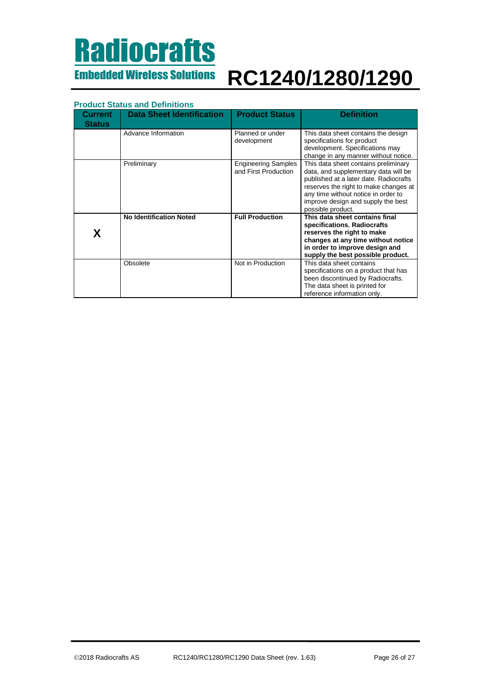## **Radiocrafts** Embedded Wireless Solutions

# **RC1240/1280/1290**

### **Product Status and Definitions**

| Current<br><b>Status</b> | <b>Data Sheet Identification</b> | <b>Product Status</b>                              | <b>Definition</b>                                                                                                                                                                                                                                                 |
|--------------------------|----------------------------------|----------------------------------------------------|-------------------------------------------------------------------------------------------------------------------------------------------------------------------------------------------------------------------------------------------------------------------|
|                          | Advance Information              | Planned or under<br>development                    | This data sheet contains the design<br>specifications for product<br>development. Specifications may<br>change in any manner without notice.                                                                                                                      |
|                          | Preliminary                      | <b>Engineering Samples</b><br>and First Production | This data sheet contains preliminary<br>data, and supplementary data will be<br>published at a later date. Radiocrafts<br>reserves the right to make changes at<br>any time without notice in order to<br>improve design and supply the best<br>possible product. |
| X                        | <b>No Identification Noted</b>   | <b>Full Production</b>                             | This data sheet contains final<br>specifications. Radiocrafts<br>reserves the right to make<br>changes at any time without notice<br>in order to improve design and<br>supply the best possible product.                                                          |
|                          | Obsolete                         | Not in Production                                  | This data sheet contains<br>specifications on a product that has<br>been discontinued by Radiocrafts.<br>The data sheet is printed for<br>reference information only.                                                                                             |